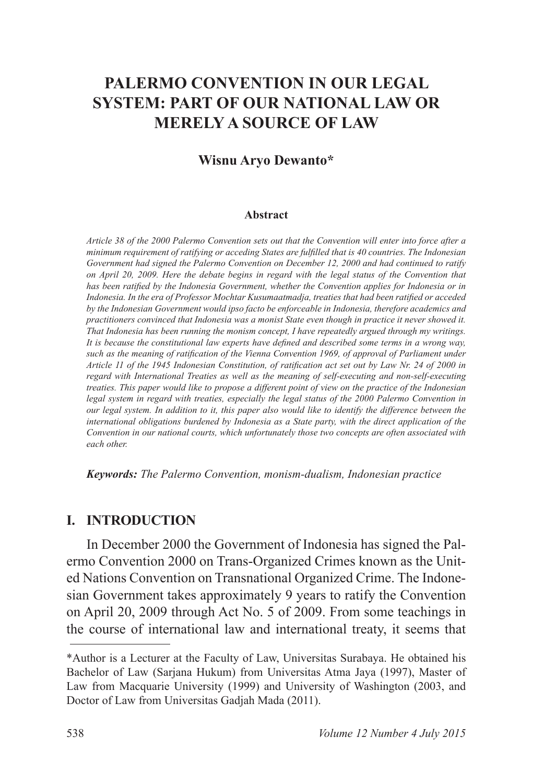# **PALERMO CONVENTION IN OUR LEGAL SYSTEM: PART OF OUR NATIONAL LAW OR MERELY A SOURCE OF LAW**

#### **Wisnu Aryo Dewanto\***

#### **Abstract**

*Article 38 of the 2000 Palermo Convention sets out that the Convention will enter into force after a PERIFURIFFHIFF PLATFLPHQIPIND FHAIffying or acceding States are fulfilled that is 40 countries. The Indonesian Government had signed the Palermo Convention on December 12, 2000 and had continued to ratify on April 20, 2009. Here the debate begins in regard with the legal status of the Convention that*  has been ratified by the Indonesia Government, whether the Convention applies for Indonesia or in Indonesia. In the era of Professor Mochtar Kusumaatmadja, treaties that had been ratified or acceded *by the Indonesian Government would ipso facto be enforceable in Indonesia, therefore academics and practitioners convinced that Indonesia was a monist State even though in practice it never showed it. That Indonesia has been running the monism concept, I have repeatedly argued through my writings.*  It is because the constitutional law experts have defined and described some terms in a wrong way, such as the meaning of ratification of the Vienna Convention 1969, of approval of Parliament under Article 11 of the 1945 Indonesian Constitution, of ratification act set out by Law Nr. 24 of 2000 in *regard with International Treaties as well as the meaning of self-executing and non-self-executing treaties. This paper would like to propose a different point of view on the practice of the Indonesian legal system in regard with treaties, especially the legal status of the 2000 Palermo Convention in our legal system. In addition to it, this paper also would like to identify the difference between the international obligations burdened by Indonesia as a State party, with the direct application of the Convention in our national courts, which unfortunately those two concepts are often associated with each other.*

*Keywords: The Palermo Convention, monism-dualism, Indonesian practice*

#### **I. INTRODUCTION**

In December 2000 the Government of Indonesia has signed the Palermo Convention 2000 on Trans-Organized Crimes known as the United Nations Convention on Transnational Organized Crime. The Indonesian Government takes approximately 9 years to ratify the Convention on April 20, 2009 through Act No. 5 of 2009. From some teachings in the course of international law and international treaty, it seems that

<sup>\*</sup>Author is a Lecturer at the Faculty of Law, Universitas Surabaya. He obtained his Bachelor of Law (Sarjana Hukum) from Universitas Atma Jaya (1997), Master of Law from Macquarie University (1999) and University of Washington (2003, and Doctor of Law from Universitas Gadjah Mada (2011).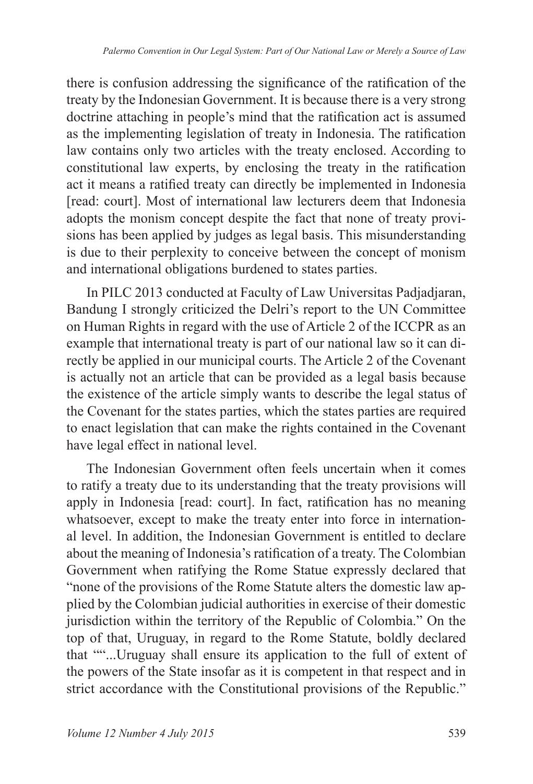there is confusion addressing the significance of the ratification of the treaty by the Indonesian Government. It is because there is a very strong doctrine attaching in people's mind that the ratification act is assumed as the implementing legislation of treaty in Indonesia. The ratification law contains only two articles with the treaty enclosed. According to constitutional law experts, by enclosing the treaty in the ratification act it means a ratified treaty can directly be implemented in Indonesia [read: court]. Most of international law lecturers deem that Indonesia adopts the monism concept despite the fact that none of treaty provisions has been applied by judges as legal basis. This misunderstanding is due to their perplexity to conceive between the concept of monism and international obligations burdened to states parties.

In PILC 2013 conducted at Faculty of Law Universitas Padiadiaran, Bandung I strongly criticized the Delri's report to the UN Committee on Human Rights in regard with the use of Article 2 of the ICCPR as an example that international treaty is part of our national law so it can directly be applied in our municipal courts. The Article 2 of the Covenant is actually not an article that can be provided as a legal basis because the existence of the article simply wants to describe the legal status of the Covenant for the states parties, which the states parties are required to enact legislation that can make the rights contained in the Covenant have legal effect in national level.

The Indonesian Government often feels uncertain when it comes to ratify a treaty due to its understanding that the treaty provisions will apply in Indonesia [read: court]. In fact, ratification has no meaning whatsoever, except to make the treaty enter into force in international level. In addition, the Indonesian Government is entitled to declare about the meaning of Indonesia's ratification of a treaty. The Colombian Government when ratifying the Rome Statue expressly declared that "none of the provisions of the Rome Statute alters the domestic law applied by the Colombian judicial authorities in exercise of their domestic jurisdiction within the territory of the Republic of Colombia." On the top of that, Uruguay, in regard to the Rome Statute, boldly declared that ""...Uruguay shall ensure its application to the full of extent of the powers of the State insofar as it is competent in that respect and in strict accordance with the Constitutional provisions of the Republic."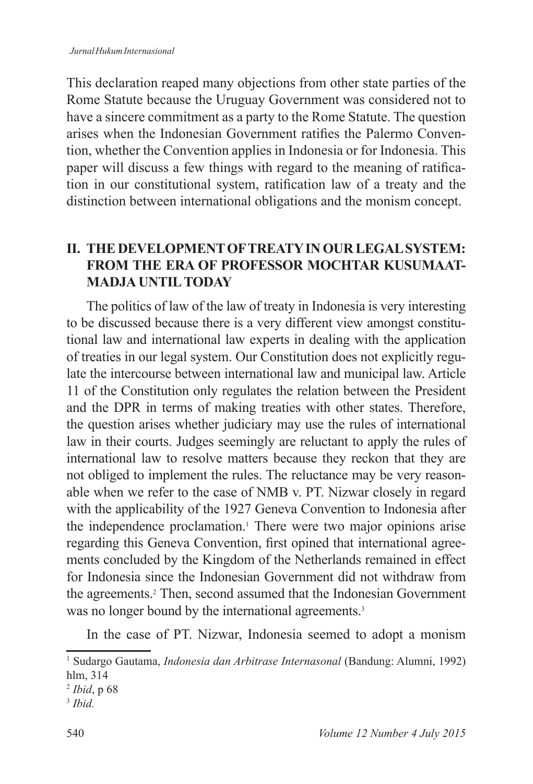This declaration reaped many objections from other state parties of the Rome Statute because the Uruguay Government was considered not to have a sincere commitment as a party to the Rome Statute. The question arises when the Indonesian Government ratifies the Palermo Convention, whether the Convention applies in Indonesia or for Indonesia. This paper will discuss a few things with regard to the meaning of ratification in our constitutional system, ratification law of a treaty and the distinction between international obligations and the monism concept.

### **II. THE DEVELOPMENT OF TREATY IN OUR LEGAL SYSTEM: FROM THE ERA OF PROFESSOR MOCHTAR KUSUMAAT-MADJA UNTIL TODAY**

The politics of law of the law of treaty in Indonesia is very interesting to be discussed because there is a very different view amongst constitutional law and international law experts in dealing with the application of treaties in our legal system. Our Constitution does not explicitly regulate the intercourse between international law and municipal law. Article 11 of the Constitution only regulates the relation between the President and the DPR in terms of making treaties with other states. Therefore, the question arises whether judiciary may use the rules of international law in their courts. Judges seemingly are reluctant to apply the rules of international law to resolve matters because they reckon that they are not obliged to implement the rules. The reluctance may be very reasonable when we refer to the case of NMB v. PT. Nizwar closely in regard with the applicability of the 1927 Geneva Convention to Indonesia after the independence proclamation.<sup>1</sup> There were two major opinions arise regarding this Geneva Convention, first opined that international agreements concluded by the Kingdom of the Netherlands remained in effect for Indonesia since the Indonesian Government did not withdraw from the agreements.<sup>2</sup> Then, second assumed that the Indonesian Government was no longer bound by the international agreements.<sup>3</sup>

In the case of PT. Nizwar, Indonesia seemed to adopt a monism

<sup>&</sup>lt;sup>1</sup> Sudargo Gautama, *Indonesia dan Arbitrase Internasonal* (Bandung: Alumni, 1992) hlm, 314

<sup>&</sup>lt;sup>2</sup> *Ibid*, p 68

<sup>3</sup> *Ibid.*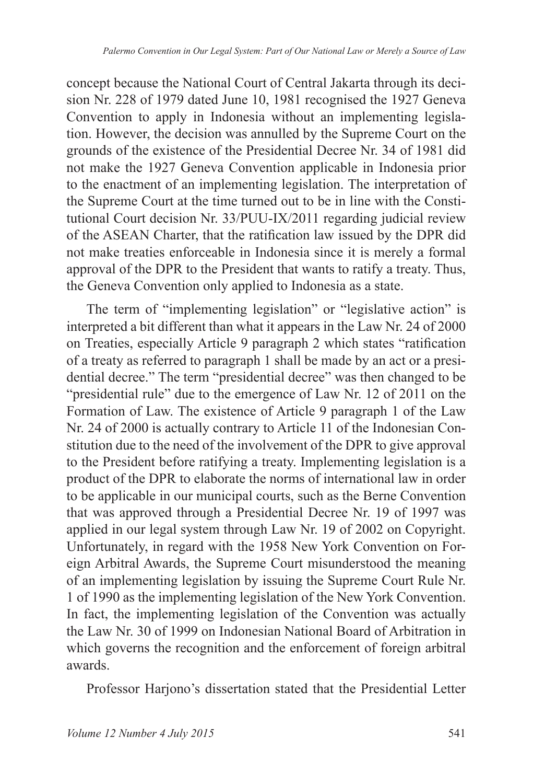concept because the National Court of Central Jakarta through its decision Nr. 228 of 1979 dated June 10, 1981 recognised the 1927 Geneva Convention to apply in Indonesia without an implementing legislation. However, the decision was annulled by the Supreme Court on the grounds of the existence of the Presidential Decree Nr. 34 of 1981 did not make the 1927 Geneva Convention applicable in Indonesia prior to the enactment of an implementing legislation. The interpretation of the Supreme Court at the time turned out to be in line with the Constitutional Court decision Nr.  $33/PUU-IX/2011$  regarding judicial review of the ASEAN Charter, that the ratification law issued by the DPR did not make treaties enforceable in Indonesia since it is merely a formal approval of the DPR to the President that wants to ratify a treaty. Thus, the Geneva Convention only applied to Indonesia as a state.

The term of "implementing legislation" or "legislative action" is interpreted a bit different than what it appears in the Law Nr. 24 of 2000 on Treaties, especially Article 9 paragraph 2 which states "ratification" of a treaty as referred to paragraph 1 shall be made by an act or a presidential decree." The term "presidential decree" was then changed to be "presidential rule" due to the emergence of Law Nr. 12 of 2011 on the Formation of Law. The existence of Article 9 paragraph 1 of the Law Nr. 24 of 2000 is actually contrary to Article 11 of the Indonesian Constitution due to the need of the involvement of the DPR to give approval to the President before ratifying a treaty. Implementing legislation is a product of the DPR to elaborate the norms of international law in order to be applicable in our municipal courts, such as the Berne Convention that was approved through a Presidential Decree Nr. 19 of 1997 was applied in our legal system through Law Nr. 19 of 2002 on Copyright. Unfortunately, in regard with the 1958 New York Convention on Foreign Arbitral Awards, the Supreme Court misunderstood the meaning of an implementing legislation by issuing the Supreme Court Rule Nr. 1 of 1990 as the implementing legislation of the New York Convention. In fact, the implementing legislation of the Convention was actually the Law Nr. 30 of 1999 on Indonesian National Board of Arbitration in which governs the recognition and the enforcement of foreign arbitral awards.

Professor Harjono's dissertation stated that the Presidential Letter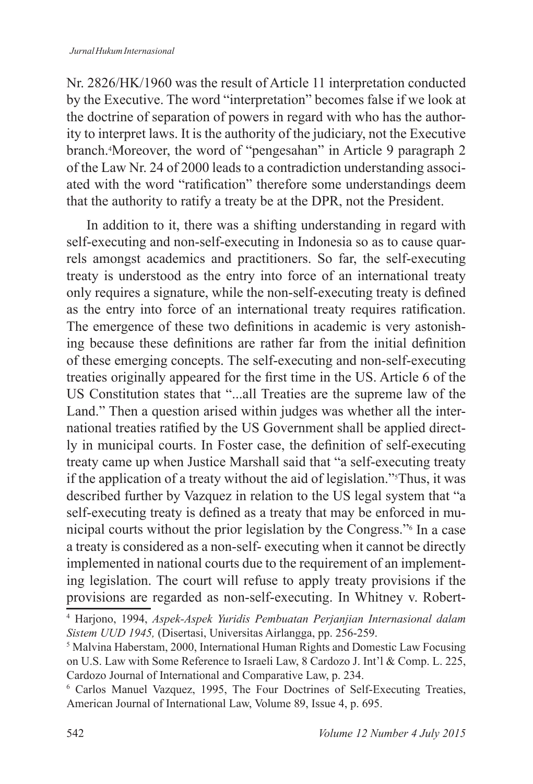Nr. 2826/HK/1960 was the result of Article 11 interpretation conducted by the Executive. The word "interpretation" becomes false if we look at the doctrine of separation of powers in regard with who has the authority to interpret laws. It is the authority of the judiciary, not the Executive branch.<sup>4</sup>Moreover, the word of "pengesahan" in Article 9 paragraph 2 of the Law Nr. 24 of 2000 leads to a contradiction understanding associated with the word "ratification" therefore some understandings deem that the authority to ratify a treaty be at the DPR, not the President.

In addition to it, there was a shifting understanding in regard with self-executing and non-self-executing in Indonesia so as to cause quarrels amongst academics and practitioners. So far, the self-executing treaty is understood as the entry into force of an international treaty only requires a signature, while the non-self-executing treaty is defined as the entry into force of an international treaty requires ratification. The emergence of these two definitions in academic is very astonishing because these definitions are rather far from the initial definition of these emerging concepts. The self-executing and non-self-executing treaties originally appeared for the first time in the US. Article 6 of the US Constitution states that "...all Treaties are the supreme law of the Land." Then a question arised within judges was whether all the international treaties ratified by the US Government shall be applied directly in municipal courts. In Foster case, the definition of self-executing treaty came up when Justice Marshall said that "a self-executing treaty if the application of a treaty without the aid of legislation."Thus, it was described further by Vazquez in relation to the US legal system that "a self-executing treaty is defined as a treaty that may be enforced in municipal courts without the prior legislation by the Congress." In a case a treaty is considered as a non-self- executing when it cannot be directly implemented in national courts due to the requirement of an implementing legislation. The court will refuse to apply treaty provisions if the provisions are regarded as non-self-executing. In Whitney v. Robert-

<sup>4</sup> Harjono, 1994, *Aspek-Aspek Yuridis Pembuatan Perjanjian Internasional dalam Sistem UUD 1945, (Disertasi, Universitas Airlangga, pp. 256-259.)* 

 $<sup>5</sup>$  Malvina Haberstam, 2000, International Human Rights and Domestic Law Focusing</sup> on U.S. Law with Some Reference to Israeli Law, 8 Cardozo J. Int'l & Comp. L. 225, Cardozo Journal of International and Comparative Law, p. 234.

<sup>&</sup>lt;sup>6</sup> Carlos Manuel Vazquez, 1995, The Four Doctrines of Self-Executing Treaties, American Journal of International Law, Volume 89, Issue 4, p. 695.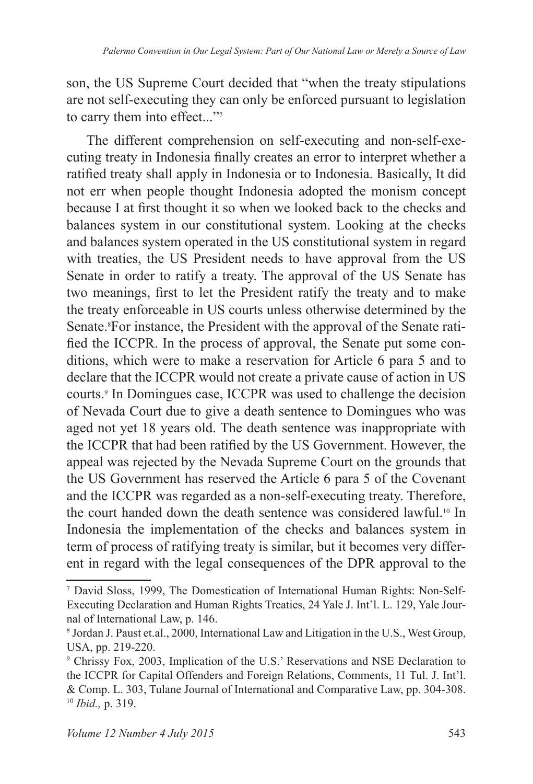son, the US Supreme Court decided that "when the treaty stipulations" are not self-executing they can only be enforced pursuant to legislation to carry them into effect..."<sup>7</sup>

The different comprehension on self-executing and non-self-executing treaty in Indonesia finally creates an error to interpret whether a ratified treaty shall apply in Indonesia or to Indonesia. Basically, It did not err when people thought Indonesia adopted the monism concept because I at first thought it so when we looked back to the checks and balances system in our constitutional system. Looking at the checks and balances system operated in the US constitutional system in regard with treaties, the US President needs to have approval from the US Senate in order to ratify a treaty. The approval of the US Senate has two meanings, first to let the President ratify the treaty and to make the treaty enforceable in US courts unless otherwise determined by the Senate.<sup>8</sup>For instance, the President with the approval of the Senate ratified the ICCPR. In the process of approval, the Senate put some conditions, which were to make a reservation for Article 6 para 5 and to declare that the ICCPR would not create a private cause of action in US courts.<sup>9</sup> In Domingues case, ICCPR was used to challenge the decision of Nevada Court due to give a death sentence to Domingues who was aged not yet 18 years old. The death sentence was inappropriate with the ICCPR that had been ratified by the US Government. However, the appeal was rejected by the Nevada Supreme Court on the grounds that the US Government has reserved the Article 6 para 5 of the Covenant and the ICCPR was regarded as a non-self-executing treaty. Therefore, the court handed down the death sentence was considered lawful.<sup>10</sup> In Indonesia the implementation of the checks and balances system in term of process of ratifying treaty is similar, but it becomes very different in regard with the legal consequences of the DPR approval to the

<sup>&</sup>lt;sup>7</sup> David Sloss, 1999, The Domestication of International Human Rights: Non-Self-Executing Declaration and Human Rights Treaties, 24 Yale J. Int'l. L. 129, Yale Journal of International Law, p. 146.

<sup>&</sup>lt;sup>8</sup> Jordan J. Paust et.al., 2000, International Law and Litigation in the U.S., West Group, USA, pp. 219-220.

<sup>&</sup>lt;sup>9</sup> Chrissy Fox, 2003, Implication of the U.S.' Reservations and NSE Declaration to the ICCPR for Capital Offenders and Foreign Relations, Comments, 11 Tul. J. Int'l. & Comp. L. 303, Tulane Journal of International and Comparative Law, pp. 304-308. <sup>10</sup> *Ibid.,* p. 319.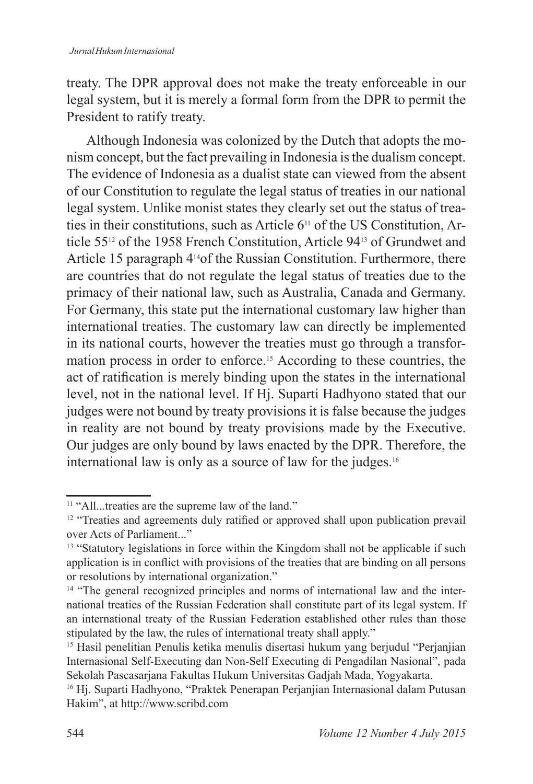treaty. The DPR approval does not make the treaty enforceable in our legal system, but it is merely a formal form from the DPR to permit the President to ratify treaty.

Although Indonesia was colonized by the Dutch that adopts the monism concept, but the fact prevailing in Indonesia is the dualism concept. The evidence of Indonesia as a dualist state can viewed from the absent of our Constitution to regulate the legal status of treaties in our national legal system. Unlike monist states they clearly set out the status of treaties in their constitutions, such as Article  $6<sup>11</sup>$  of the US Constitution, Article  $55^{12}$  of the 1958 French Constitution, Article 94 $13$  of Grundwet and Article 15 paragraph  $4^{14}$ of the Russian Constitution. Furthermore, there are countries that do not regulate the legal status of treaties due to the primacy of their national law, such as Australia, Canada and Germany. For Germany, this state put the international customary law higher than international treaties. The customary law can directly be implemented in its national courts, however the treaties must go through a transformation process in order to enforce.<sup>15</sup> According to these countries, the act of ratification is merely binding upon the states in the international level, not in the national level. If Hj. Suparti Hadhyono stated that our judges were not bound by treaty provisions it is false because the judges in reality are not bound by treaty provisions made by the Executive. Our judges are only bound by laws enacted by the DPR. Therefore, the international law is only as a source of law for the judges.

<sup>&</sup>lt;sup>11</sup> "All...treaties are the supreme law of the land."

<sup>&</sup>lt;sup>12</sup> "Treaties and agreements duly ratified or approved shall upon publication prevail over Acts of Parliament..."

<sup>&</sup>lt;sup>13</sup> "Statutory legislations in force within the Kingdom shall not be applicable if such application is in conflict with provisions of the treaties that are binding on all persons or resolutions by international organization."

<sup>&</sup>lt;sup>14</sup> "The general recognized principles and norms of international law and the international treaties of the Russian Federation shall constitute part of its legal system. If an international treaty of the Russian Federation established other rules than those stipulated by the law, the rules of international treaty shall apply."

<sup>&</sup>lt;sup>15</sup> Hasil penelitian Penulis ketika menulis disertasi hukum yang berjudul "Perjanjian" Internasional Self-Executing dan Non-Self Executing di Pengadilan Nasional", pada Sekolah Pascasarjana Fakultas Hukum Universitas Gadjah Mada, Yogyakarta.

<sup>&</sup>lt;sup>16</sup> Hj. Suparti Hadhyono, "Praktek Penerapan Perjanjian Internasional dalam Putusan Hakim", at http://www.scribd.com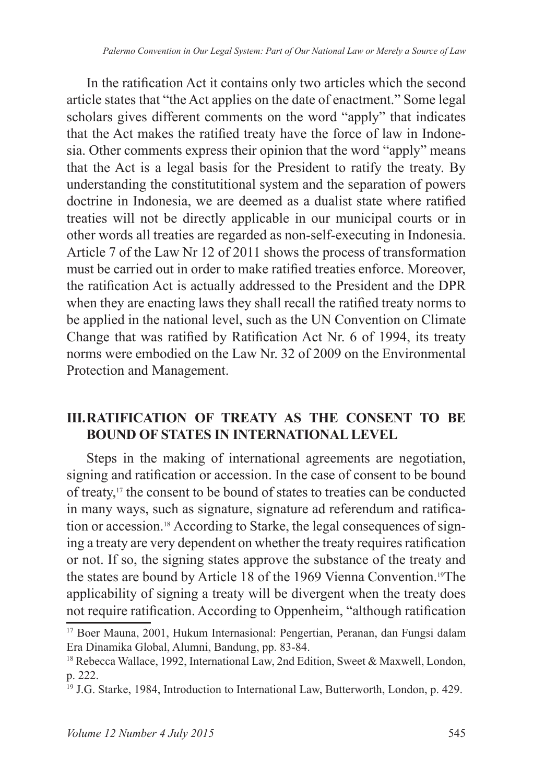In the ratification Act it contains only two articles which the second article states that "the Act applies on the date of enactment." Some legal scholars gives different comments on the word "apply" that indicates that the Act makes the ratified treaty have the force of law in Indonesia. Other comments express their opinion that the word "apply" means that the Act is a legal basis for the President to ratify the treaty. By understanding the constitutitional system and the separation of powers doctrine in Indonesia, we are deemed as a dualist state where ratified treaties will not be directly applicable in our municipal courts or in other words all treaties are regarded as non-self-executing in Indonesia. Article 7 of the Law Nr 12 of 2011 shows the process of transformation must be carried out in order to make ratified treaties enforce. Moreover, the ratification Act is actually addressed to the President and the DPR when they are enacting laws they shall recall the ratified treaty norms to be applied in the national level, such as the UN Convention on Climate Change that was ratified by Ratification Act Nr. 6 of 1994, its treaty norms were embodied on the Law Nr. 32 of 2009 on the Environmental Protection and Management.

## **III. RATIFICATION OF TREATY AS THE CONSENT TO BE BOUND OF STATES IN INTERNATIONAL LEVEL**

Steps in the making of international agreements are negotiation, signing and ratification or accession. In the case of consent to be bound of treaty,<sup>17</sup> the consent to be bound of states to treaties can be conducted in many ways, such as signature, signature ad referendum and ratification or accession.<sup>18</sup> According to Starke, the legal consequences of signing a treaty are very dependent on whether the treaty requires ratification or not. If so, the signing states approve the substance of the treaty and the states are bound by Article 18 of the 1969 Vienna Convention.<sup>19</sup>The applicability of signing a treaty will be divergent when the treaty does not require ratification. According to Oppenheim, "although ratification"

<sup>&</sup>lt;sup>17</sup> Boer Mauna, 2001, Hukum Internasional: Pengertian, Peranan, dan Fungsi dalam Era Dinamika Global, Alumni, Bandung, pp. 83-84.

<sup>&</sup>lt;sup>18</sup> Rebecca Wallace, 1992, International Law, 2nd Edition, Sweet & Maxwell, London, p. 222.

<sup>&</sup>lt;sup>19</sup> J.G. Starke, 1984, Introduction to International Law, Butterworth, London, p. 429.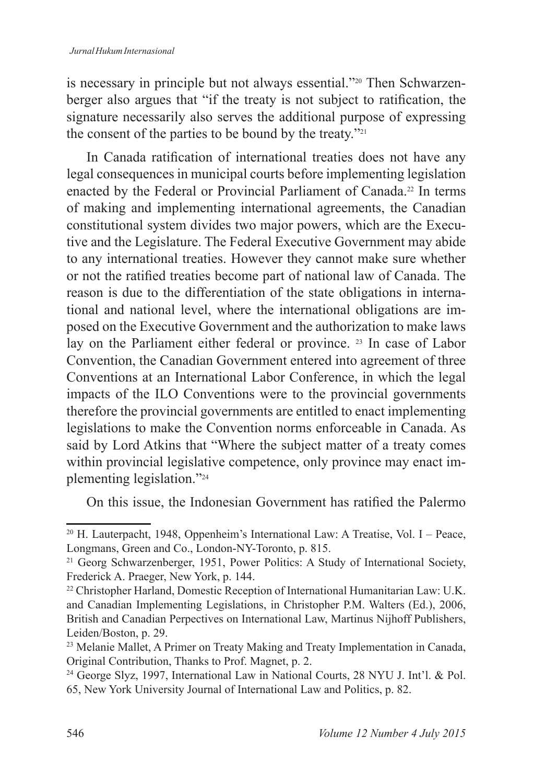is necessary in principle but not always essential."<sup>20</sup> Then Schwarzenberger also argues that "if the treaty is not subject to ratification, the signature necessarily also serves the additional purpose of expressing the consent of the parties to be bound by the treaty."

In Canada ratification of international treaties does not have any legal consequences in municipal courts before implementing legislation enacted by the Federal or Provincial Parliament of Canada.<sup>22</sup> In terms of making and implementing international agreements, the Canadian constitutional system divides two major powers, which are the Executive and the Legislature. The Federal Executive Government may abide to any international treaties. However they cannot make sure whether or not the ratified treaties become part of national law of Canada. The reason is due to the differentiation of the state obligations in international and national level, where the international obligations are imposed on the Executive Government and the authorization to make laws lay on the Parliament either federal or province. <sup>23</sup> In case of Labor Convention, the Canadian Government entered into agreement of three Conventions at an International Labor Conference, in which the legal impacts of the ILO Conventions were to the provincial governments therefore the provincial governments are entitled to enact implementing legislations to make the Convention norms enforceable in Canada. As said by Lord Atkins that "Where the subject matter of a treaty comes within provincial legislative competence, only province may enact implementing legislation."

On this issue, the Indonesian Government has ratified the Palermo

<sup>&</sup>lt;sup>20</sup> H. Lauterpacht, 1948, Oppenheim's International Law: A Treatise, Vol. I – Peace, Longmans, Green and Co., London-NY-Toronto, p. 815.

<sup>&</sup>lt;sup>21</sup> Georg Schwarzenberger, 1951, Power Politics: A Study of International Society, Frederick A. Praeger, New York, p. 144.

<sup>&</sup>lt;sup>22</sup> Christopher Harland, Domestic Reception of International Humanitarian Law: U.K. and Canadian Implementing Legislations, in Christopher P.M. Walters (Ed.), 2006, British and Canadian Perpectives on International Law, Martinus Nijhoff Publishers, Leiden/Boston, p. 29.

<sup>&</sup>lt;sup>23</sup> Melanie Mallet, A Primer on Treaty Making and Treaty Implementation in Canada, Original Contribution, Thanks to Prof. Magnet, p. 2.

<sup>&</sup>lt;sup>24</sup> George Slyz, 1997, International Law in National Courts, 28 NYU J. Int'l. & Pol. 65, New York University Journal of International Law and Politics, p. 82.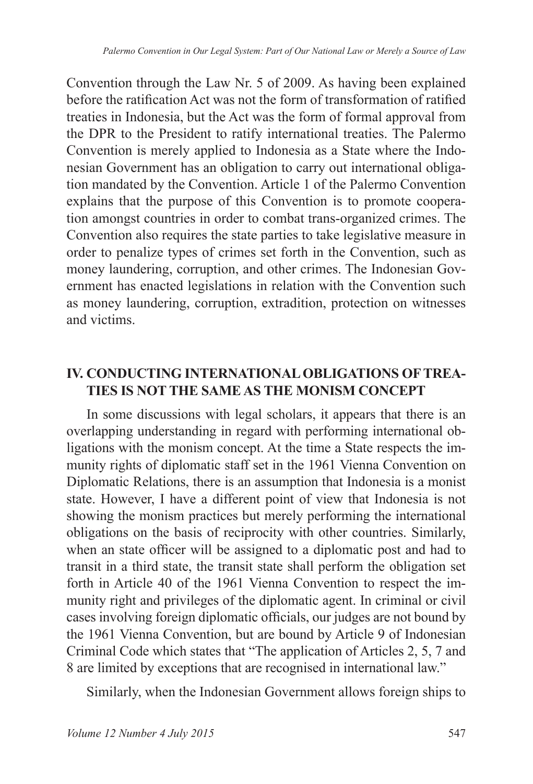Convention through the Law Nr. 5 of 2009. As having been explained before the ratification Act was not the form of transformation of ratified treaties in Indonesia, but the Act was the form of formal approval from the DPR to the President to ratify international treaties. The Palermo Convention is merely applied to Indonesia as a State where the Indonesian Government has an obligation to carry out international obligation mandated by the Convention. Article 1 of the Palermo Convention explains that the purpose of this Convention is to promote cooperation amongst countries in order to combat trans-organized crimes. The Convention also requires the state parties to take legislative measure in order to penalize types of crimes set forth in the Convention, such as money laundering, corruption, and other crimes. The Indonesian Government has enacted legislations in relation with the Convention such as money laundering, corruption, extradition, protection on witnesses and victims.

### **IV. CONDUCTING INTERNATIONAL OBLIGATIONS OF TREA-TIES IS NOT THE SAME AS THE MONISM CONCEPT**

In some discussions with legal scholars, it appears that there is an overlapping understanding in regard with performing international obligations with the monism concept. At the time a State respects the immunity rights of diplomatic staff set in the 1961 Vienna Convention on Diplomatic Relations, there is an assumption that Indonesia is a monist state. However, I have a different point of view that Indonesia is not showing the monism practices but merely performing the international obligations on the basis of reciprocity with other countries. Similarly, when an state officer will be assigned to a diplomatic post and had to transit in a third state, the transit state shall perform the obligation set forth in Article 40 of the 1961 Vienna Convention to respect the immunity right and privileges of the diplomatic agent. In criminal or civil cases involving foreign diplomatic officials, our judges are not bound by the 1961 Vienna Convention, but are bound by Article 9 of Indonesian Criminal Code which states that "The application of Articles 2, 5, 7 and 8 are limited by exceptions that are recognised in international law."

Similarly, when the Indonesian Government allows foreign ships to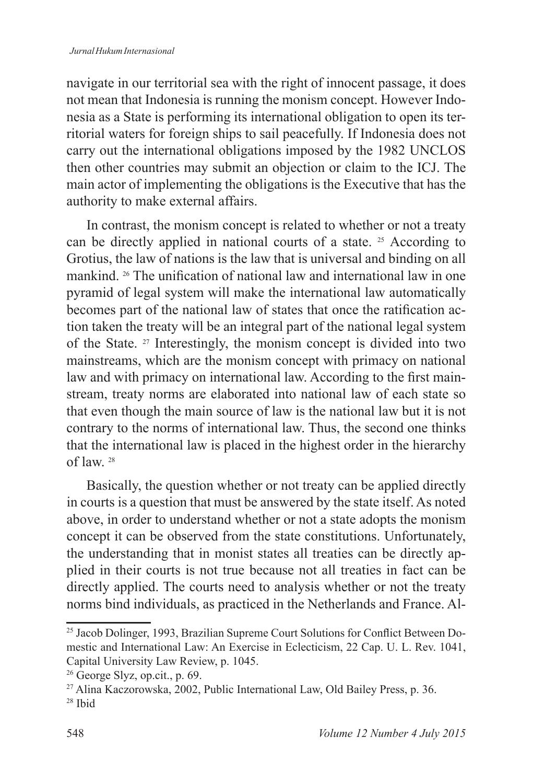#### *Jurnal Hukum Internasional*

navigate in our territorial sea with the right of innocent passage, it does not mean that Indonesia is running the monism concept. However Indonesia as a State is performing its international obligation to open its territorial waters for foreign ships to sail peacefully. If Indonesia does not carry out the international obligations imposed by the  $1982$  UNCLOS then other countries may submit an objection or claim to the ICJ. The main actor of implementing the obligations is the Executive that has the authority to make external affairs.

In contrast, the monism concept is related to whether or not a treaty can be directly applied in national courts of a state.  $25$  According to Grotius, the law of nations is the law that is universal and binding on all mankind. <sup>26</sup> The unification of national law and international law in one pyramid of legal system will make the international law automatically becomes part of the national law of states that once the ratification action taken the treaty will be an integral part of the national legal system of the State.  $27$  Interestingly, the monism concept is divided into two mainstreams, which are the monism concept with primacy on national law and with primacy on international law. According to the first mainstream, treaty norms are elaborated into national law of each state so that even though the main source of law is the national law but it is not contrary to the norms of international law. Thus, the second one thinks that the international law is placed in the highest order in the hierarchy of law.

Basically, the question whether or not treaty can be applied directly in courts is a question that must be answered by the state itself. As noted above, in order to understand whether or not a state adopts the monism concept it can be observed from the state constitutions. Unfortunately, the understanding that in monist states all treaties can be directly applied in their courts is not true because not all treaties in fact can be directly applied. The courts need to analysis whether or not the treaty norms bind individuals, as practiced in the Netherlands and France. Al-

<sup>&</sup>lt;sup>25</sup> Jacob Dolinger, 1993, Brazilian Supreme Court Solutions for Conflict Between Domestic and International Law: An Exercise in Eclecticism, 22 Cap. U. L. Rev. 1041, Capital University Law Review, p. 1045.

 $26$  George Slyz, op.cit., p. 69.

<sup>&</sup>lt;sup>27</sup> Alina Kaczorowska, 2002, Public International Law, Old Bailey Press, p. 36.

 $28$  Ibid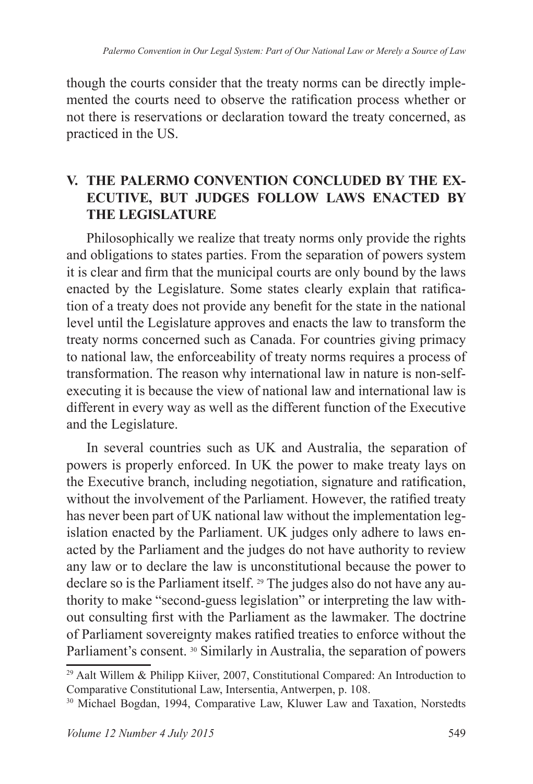though the courts consider that the treaty norms can be directly implemented the courts need to observe the ratification process whether or not there is reservations or declaration toward the treaty concerned, as practiced in the US.

## **V. THE PALERMO CONVENTION CONCLUDED BY THE EX-ECUTIVE, BUT JUDGES FOLLOW LAWS ENACTED BY THE LEGISLATURE**

Philosophically we realize that treaty norms only provide the rights and obligations to states parties. From the separation of powers system it is clear and firm that the municipal courts are only bound by the laws enacted by the Legislature. Some states clearly explain that ratification of a treaty does not provide any benefit for the state in the national level until the Legislature approves and enacts the law to transform the treaty norms concerned such as Canada. For countries giving primacy to national law, the enforceability of treaty norms requires a process of transformation. The reason why international law in nature is non-selfexecuting it is because the view of national law and international law is different in every way as well as the different function of the Executive and the Legislature.

In several countries such as UK and Australia, the separation of powers is properly enforced. In UK the power to make treaty lays on the Executive branch, including negotiation, signature and ratification, without the involvement of the Parliament. However, the ratified treaty has never been part of UK national law without the implementation legislation enacted by the Parliament. UK judges only adhere to laws enacted by the Parliament and the judges do not have authority to review any law or to declare the law is unconstitutional because the power to declare so is the Parliament itself. <sup>29</sup> The judges also do not have any authority to make "second-guess legislation" or interpreting the law without consulting first with the Parliament as the lawmaker. The doctrine of Parliament sovereignty makes ratified treaties to enforce without the Parliament's consent. 30 Similarly in Australia, the separation of powers

 $29$  Aalt Willem & Philipp Kiiver, 2007, Constitutional Compared: An Introduction to Comparative Constitutional Law, Intersentia, Antwerpen, p. 108.

<sup>30</sup> Michael Bogdan, 1994, Comparative Law, Kluwer Law and Taxation, Norstedts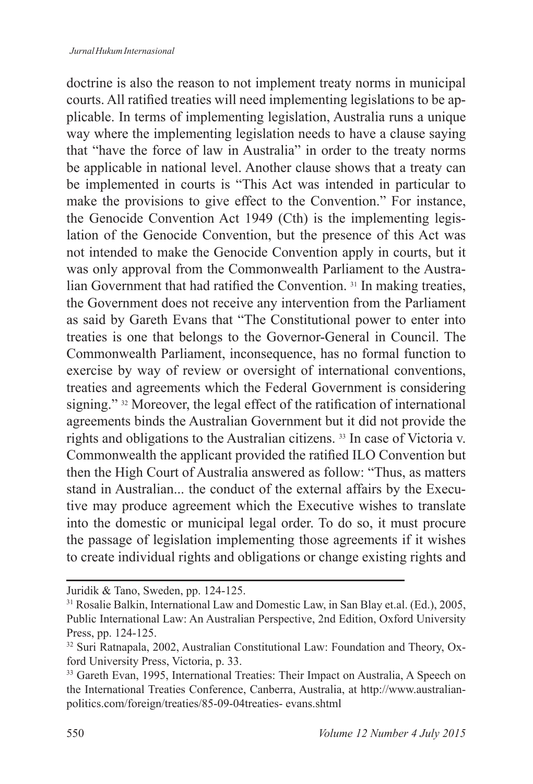doctrine is also the reason to not implement treaty norms in municipal courts. All ratified treaties will need implementing legislations to be applicable. In terms of implementing legislation, Australia runs a unique way where the implementing legislation needs to have a clause saying that "have the force of law in Australia" in order to the treaty norms be applicable in national level. Another clause shows that a treaty can be implemented in courts is "This Act was intended in particular to make the provisions to give effect to the Convention." For instance, the Genocide Convention Act 1949 (Cth) is the implementing legislation of the Genocide Convention, but the presence of this Act was not intended to make the Genocide Convention apply in courts, but it was only approval from the Commonwealth Parliament to the Australian Government that had ratified the Convention.<sup>31</sup> In making treaties, the Government does not receive any intervention from the Parliament as said by Gareth Evans that "The Constitutional power to enter into treaties is one that belongs to the Governor-General in Council. The Commonwealth Parliament, inconsequence, has no formal function to exercise by way of review or oversight of international conventions, treaties and agreements which the Federal Government is considering signing." 32 Moreover, the legal effect of the ratification of international agreements binds the Australian Government but it did not provide the rights and obligations to the Australian citizens. <sup>33</sup> In case of Victoria v. Commonwealth the applicant provided the ratified ILO Convention but then the High Court of Australia answered as follow: "Thus, as matters stand in Australian... the conduct of the external affairs by the Executive may produce agreement which the Executive wishes to translate into the domestic or municipal legal order. To do so, it must procure the passage of legislation implementing those agreements if it wishes to create individual rights and obligations or change existing rights and

Juridik & Tano, Sweden, pp. 124-125.

<sup>&</sup>lt;sup>31</sup> Rosalie Balkin, International Law and Domestic Law, in San Blay et.al. (Ed.), 2005, Public International Law: An Australian Perspective, 2nd Edition, Oxford University Press, pp. 124-125.

<sup>&</sup>lt;sup>32</sup> Suri Ratnapala, 2002, Australian Constitutional Law: Foundation and Theory, Oxford University Press, Victoria, p. 33.

<sup>&</sup>lt;sup>33</sup> Gareth Evan, 1995, International Treaties: Their Impact on Australia, A Speech on the International Treaties Conference, Canberra, Australia, at http://www.australianpolitics.com/foreign/treaties/85-09-04treaties-evans.shtml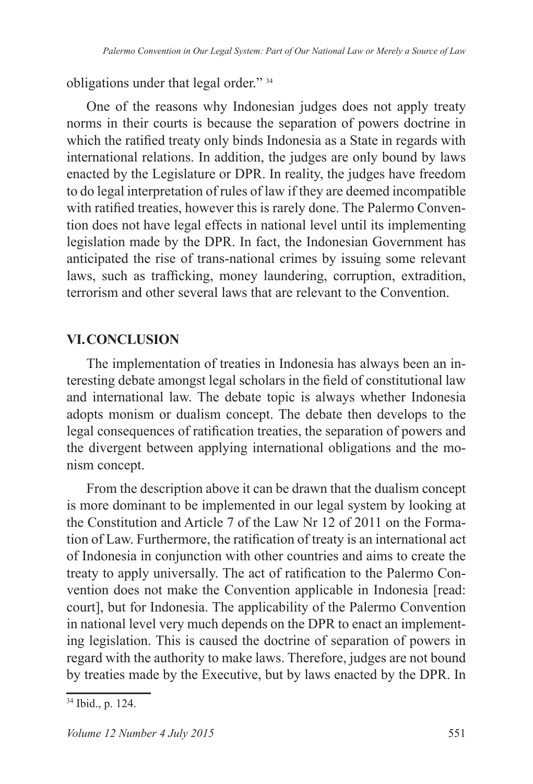obligations under that legal order." <sup>34</sup>

One of the reasons why Indonesian judges does not apply treaty norms in their courts is because the separation of powers doctrine in which the ratified treaty only binds Indonesia as a State in regards with international relations. In addition, the judges are only bound by laws enacted by the Legislature or DPR. In reality, the judges have freedom to do legal interpretation of rules of law if they are deemed incompatible with ratified treaties, however this is rarely done. The Palermo Convention does not have legal effects in national level until its implementing legislation made by the DPR. In fact, the Indonesian Government has anticipated the rise of trans-national crimes by issuing some relevant laws, such as trafficking, money laundering, corruption, extradition, terrorism and other several laws that are relevant to the Convention.

### **VI. CONCLUSION**

The implementation of treaties in Indonesia has always been an interesting debate amongst legal scholars in the field of constitutional law and international law. The debate topic is always whether Indonesia adopts monism or dualism concept. The debate then develops to the legal consequences of ratification treaties, the separation of powers and the divergent between applying international obligations and the monism concept.

From the description above it can be drawn that the dualism concept is more dominant to be implemented in our legal system by looking at the Constitution and Article 7 of the Law Nr 12 of 2011 on the Formation of Law. Furthermore, the ratification of treaty is an international act of Indonesia in conjunction with other countries and aims to create the treaty to apply universally. The act of ratification to the Palermo Convention does not make the Convention applicable in Indonesia [read: court], but for Indonesia. The applicability of the Palermo Convention in national level very much depends on the DPR to enact an implementing legislation. This is caused the doctrine of separation of powers in regard with the authority to make laws. Therefore, judges are not bound by treaties made by the Executive, but by laws enacted by the DPR. In

<sup>&</sup>lt;sup>34</sup> Ibid., p. 124.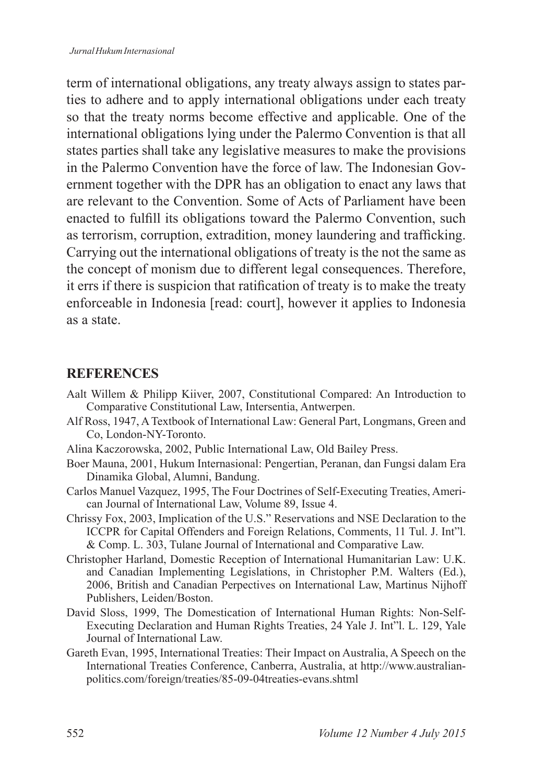term of international obligations, any treaty always assign to states parties to adhere and to apply international obligations under each treaty so that the treaty norms become effective and applicable. One of the international obligations lying under the Palermo Convention is that all states parties shall take any legislative measures to make the provisions in the Palermo Convention have the force of law. The Indonesian Government together with the DPR has an obligation to enact any laws that are relevant to the Convention. Some of Acts of Parliament have been enacted to fulfill its obligations toward the Palermo Convention, such as terrorism, corruption, extradition, money laundering and trafficking. Carrying out the international obligations of treaty is the not the same as the concept of monism due to different legal consequences. Therefore, it errs if there is suspicion that ratification of treaty is to make the treaty enforceable in Indonesia [read: court], however it applies to Indonesia as a state.

#### **REFERENCES**

- Aalt Willem & Philipp Kiiver, 2007, Constitutional Compared: An Introduction to Comparative Constitutional Law, Intersentia, Antwerpen.
- Alf Ross, 1947, A Textbook of International Law: General Part, Longmans, Green and Co, London-NY-Toronto.
- Alina Kaczorowska, 2002, Public International Law, Old Bailey Press.
- Boer Mauna, 2001, Hukum Internasional: Pengertian, Peranan, dan Fungsi dalam Era Dinamika Global, Alumni, Bandung.
- Carlos Manuel Vazquez, 1995, The Four Doctrines of Self-Executing Treaties, American Journal of International Law, Volume 89, Issue 4.
- Chrissy Fox, 2003, Implication of the U.S." Reservations and NSE Declaration to the ICCPR for Capital Offenders and Foreign Relations, Comments, 11 Tul. J. Int"l. & Comp. L. 303, Tulane Journal of International and Comparative Law.
- Christopher Harland, Domestic Reception of International Humanitarian Law: U.K. and Canadian Implementing Legislations, in Christopher P.M. Walters (Ed.), 2006, British and Canadian Perpectives on International Law, Martinus Nijhoff Publishers, Leiden/Boston.
- David Sloss, 1999, The Domestication of International Human Rights: Non-Self- Executing Declaration and Human Rights Treaties, 24 Yale J. Int"l. L. 129, Yale Journal of International Law.
- Gareth Evan, 1995, International Treaties: Their Impact on Australia, A Speech on the International Treaties Conference, Canberra, Australia, at http://www.australianpolitics.com/foreign/treaties/85-09-04treaties-evans.shtml